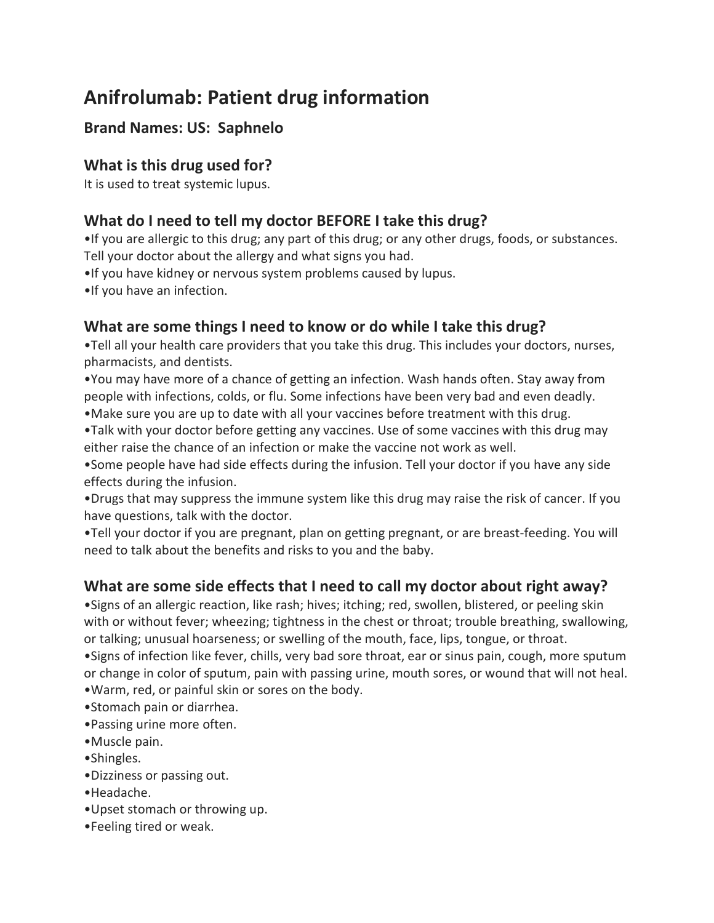# **Anifrolumab: Patient drug information**

# **Brand Names: US: Saphnelo**

#### **What is this drug used for?**

It is used to treat systemic lupus.

## **What do I need to tell my doctor BEFORE I take this drug?**

•If you are allergic to this drug; any part of this drug; or any other drugs, foods, or substances. Tell your doctor about the allergy and what signs you had.

- •If you have kidney or nervous system problems caused by lupus.
- •If you have an infection.

### **What are some things I need to know or do while I take this drug?**

•Tell all your health care providers that you take this drug. This includes your doctors, nurses, pharmacists, and dentists.

•You may have more of a chance of getting an infection. Wash hands often. Stay away from people with infections, colds, or flu. Some infections have been very bad and even deadly.

•Make sure you are up to date with all your vaccines before treatment with this drug.

•Talk with your doctor before getting any vaccines. Use of some vaccines with this drug may either raise the chance of an infection or make the vaccine not work as well.

•Some people have had side effects during the infusion. Tell your doctor if you have any side effects during the infusion.

•Drugs that may suppress the immune system like this drug may raise the risk of cancer. If you have questions, talk with the doctor.

•Tell your doctor if you are pregnant, plan on getting pregnant, or are breast-feeding. You will need to talk about the benefits and risks to you and the baby.

# **What are some side effects that I need to call my doctor about right away?**

•Signs of an allergic reaction, like rash; hives; itching; red, swollen, blistered, or peeling skin with or without fever; wheezing; tightness in the chest or throat; trouble breathing, swallowing, or talking; unusual hoarseness; or swelling of the mouth, face, lips, tongue, or throat.

•Signs of infection like fever, chills, very bad sore throat, ear or sinus pain, cough, more sputum or change in color of sputum, pain with passing urine, mouth sores, or wound that will not heal. •Warm, red, or painful skin or sores on the body.

- •Stomach pain or diarrhea.
- •Passing urine more often.
- •Muscle pain.
- •Shingles.
- •Dizziness or passing out.
- •Headache.
- •Upset stomach or throwing up.
- •Feeling tired or weak.